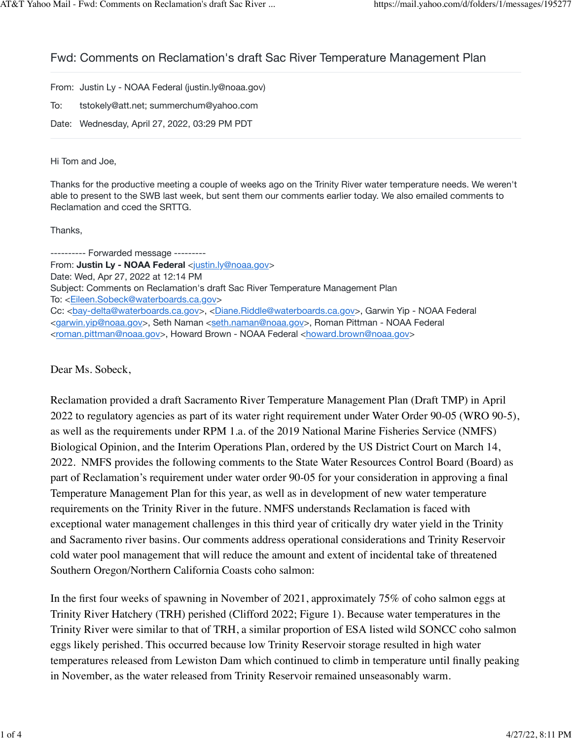## Fwd: Comments on Reclamation's draft Sac River Temperature Management Plan

From: Justin Ly - NOAA Federal (justin.ly@noaa.gov)

To: tstokely@att.net; summerchum@yahoo.com

Date: Wednesday, April 27, 2022, 03:29 PM PDT

## Hi Tom and Joe,

Thanks for the productive meeting a couple of weeks ago on the Trinity River water temperature needs. We weren't able to present to the SWB last week, but sent them our comments earlier today. We also emailed comments to Reclamation and cced the SRTTG.

Thanks,

---------- Forwarded message --------- From: **Justin Ly - NOAA Federal** [<justin.ly@noaa.gov](mailto:justin.ly@noaa.gov)> Date: Wed, Apr 27, 2022 at 12:14 PM Subject: Comments on Reclamation's draft Sac River Temperature Management Plan To: [<Eileen.Sobeck@waterboards.ca.gov>](mailto:Eileen.Sobeck@waterboards.ca.gov) Cc: <[bay-delta@waterboards.ca.gov](mailto:bay-delta@waterboards.ca.gov)>, [<Diane.Riddle@waterboards.ca.gov>](mailto:Diane.Riddle@waterboards.ca.gov), Garwin Yip - NOAA Federal <[garwin.yip@noaa.gov>](mailto:garwin.yip@noaa.gov), Seth Naman [<seth.naman@noaa.gov](mailto:seth.naman@noaa.gov)>, Roman Pittman - NOAA Federal <[roman.pittman@noaa.gov](mailto:roman.pittman@noaa.gov)>, Howard Brown - NOAA Federal <[howard.brown@noaa.gov](mailto:howard.brown@noaa.gov)>

Dear Ms. Sobeck,

Reclamation provided a draft Sacramento River Temperature Management Plan (Draft TMP) in April 2022 to regulatory agencies as part of its water right requirement under Water Order 90-05 (WRO 90-5), as well as the requirements under RPM 1.a. of the 2019 National Marine Fisheries Service (NMFS) Biological Opinion, and the Interim Operations Plan, ordered by the US District Court on March 14, 2022. NMFS provides the following comments to the State Water Resources Control Board (Board) as part of Reclamation's requirement under water order 90-05 for your consideration in approving a final Temperature Management Plan for this year, as well as in development of new water temperature requirements on the Trinity River in the future. NMFS understands Reclamation is faced with exceptional water management challenges in this third year of critically dry water yield in the Trinity and Sacramento river basins. Our comments address operational considerations and Trinity Reservoir cold water pool management that will reduce the amount and extent of incidental take of threatened Southern Oregon/Northern California Coasts coho salmon:

In the first four weeks of spawning in November of 2021, approximately 75% of coho salmon eggs at Trinity River Hatchery (TRH) perished (Clifford 2022; Figure 1). Because water temperatures in the Trinity River were similar to that of TRH, a similar proportion of ESA listed wild SONCC coho salmon eggs likely perished. This occurred because low Trinity Reservoir storage resulted in high water temperatures released from Lewiston Dam which continued to climb in temperature until finally peaking in November, as the water released from Trinity Reservoir remained unseasonably warm.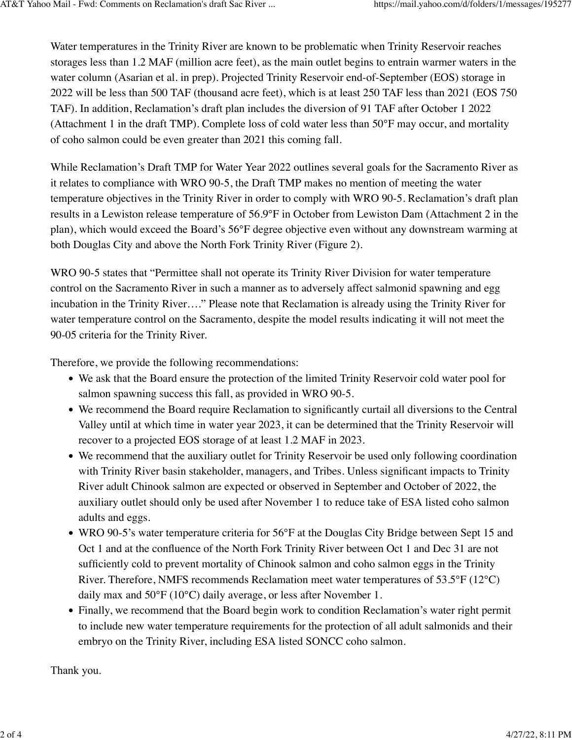Water temperatures in the Trinity River are known to be problematic when Trinity Reservoir reaches storages less than 1.2 MAF (million acre feet), as the main outlet begins to entrain warmer waters in the water column (Asarian et al. in prep). Projected Trinity Reservoir end-of-September (EOS) storage in 2022 will be less than 500 TAF (thousand acre feet), which is at least 250 TAF less than 2021 (EOS 750 TAF). In addition, Reclamation's draft plan includes the diversion of 91 TAF after October 1 2022 (Attachment 1 in the draft TMP). Complete loss of cold water less than 50°F may occur, and mortality of coho salmon could be even greater than 2021 this coming fall.

While Reclamation's Draft TMP for Water Year 2022 outlines several goals for the Sacramento River as it relates to compliance with WRO 90-5, the Draft TMP makes no mention of meeting the water temperature objectives in the Trinity River in order to comply with WRO 90-5. Reclamation's draft plan results in a Lewiston release temperature of 56.9°F in October from Lewiston Dam (Attachment 2 in the plan), which would exceed the Board's 56°F degree objective even without any downstream warming at both Douglas City and above the North Fork Trinity River (Figure 2).

WRO 90-5 states that "Permittee shall not operate its Trinity River Division for water temperature control on the Sacramento River in such a manner as to adversely affect salmonid spawning and egg incubation in the Trinity River…." Please note that Reclamation is already using the Trinity River for water temperature control on the Sacramento, despite the model results indicating it will not meet the 90-05 criteria for the Trinity River.

Therefore, we provide the following recommendations:

- We ask that the Board ensure the protection of the limited Trinity Reservoir cold water pool for salmon spawning success this fall, as provided in WRO 90-5.
- We recommend the Board require Reclamation to significantly curtail all diversions to the Central Valley until at which time in water year 2023, it can be determined that the Trinity Reservoir will recover to a projected EOS storage of at least 1.2 MAF in 2023.
- We recommend that the auxiliary outlet for Trinity Reservoir be used only following coordination with Trinity River basin stakeholder, managers, and Tribes. Unless significant impacts to Trinity River adult Chinook salmon are expected or observed in September and October of 2022, the auxiliary outlet should only be used after November 1 to reduce take of ESA listed coho salmon adults and eggs.
- WRO 90-5's water temperature criteria for 56°F at the Douglas City Bridge between Sept 15 and Oct 1 and at the confluence of the North Fork Trinity River between Oct 1 and Dec 31 are not sufficiently cold to prevent mortality of Chinook salmon and coho salmon eggs in the Trinity River. Therefore, NMFS recommends Reclamation meet water temperatures of 53.5°F (12°C) daily max and 50°F (10°C) daily average, or less after November 1.
- Finally, we recommend that the Board begin work to condition Reclamation's water right permit to include new water temperature requirements for the protection of all adult salmonids and their embryo on the Trinity River, including ESA listed SONCC coho salmon.

Thank you.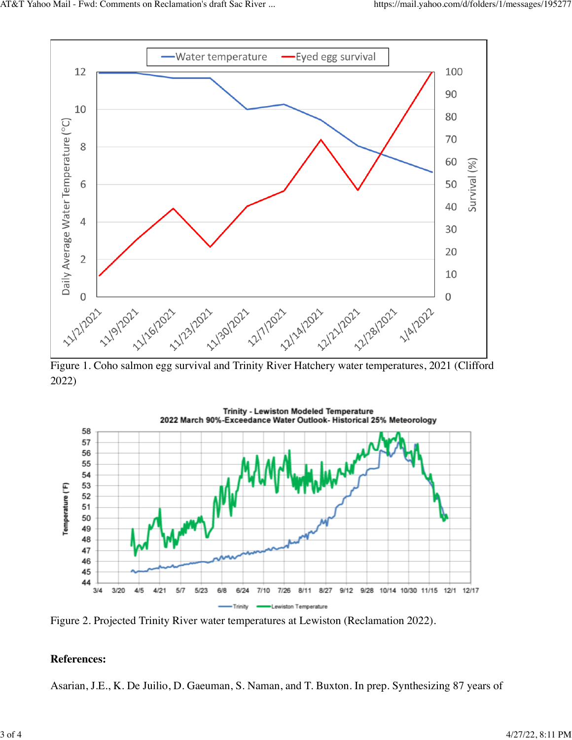

Figure 1. Coho salmon egg survival and Trinity River Hatchery water temperatures, 2021 (Clifford 2022)



Figure 2. Projected Trinity River water temperatures at Lewiston (Reclamation 2022).

## **References:**

Asarian, J.E., K. De Juilio, D. Gaeuman, S. Naman, and T. Buxton. In prep. Synthesizing 87 years of